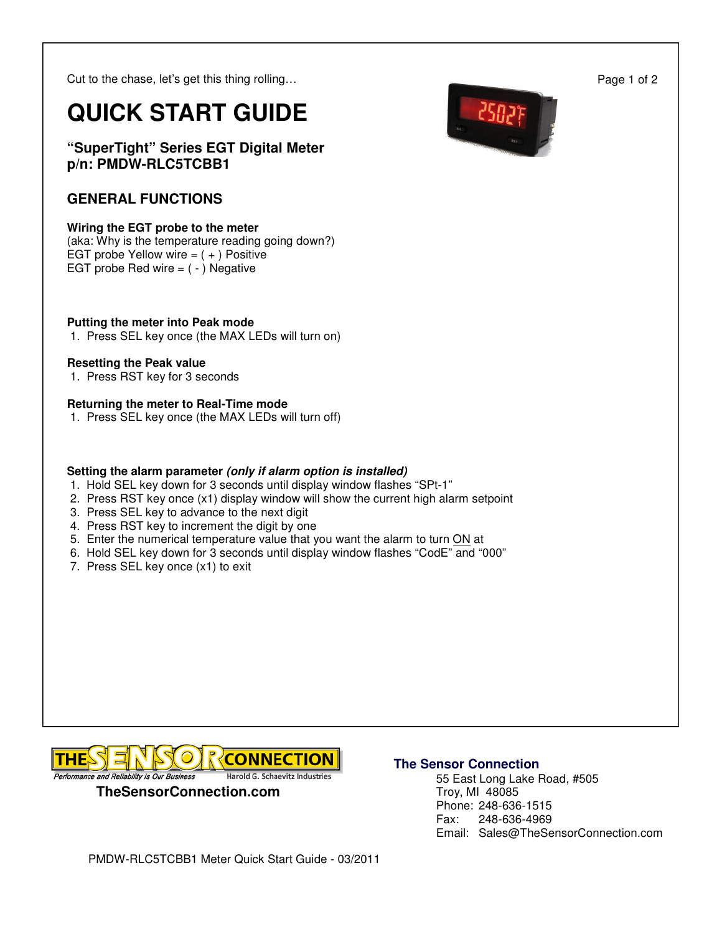Cut to the chase, let's get this thing rolling…

# **QUICK START GUIDE**

**"SuperTight" Series EGT Digital Meter p/n: PMDW-RLC5TCBB1** 

# **GENERAL FUNCTIONS**

## **Wiring the EGT probe to the meter**

(aka: Why is the temperature reading going down?) EGT probe Yellow wire  $= (+)$  Positive EGT probe Red wire  $=$   $( - )$  Negative

## **Putting the meter into Peak mode**

1. Press SEL key once (the MAX LEDs will turn on)

### **Resetting the Peak value**

1. Press RST key for 3 seconds

### **Returning the meter to Real-Time mode**

1. Press SEL key once (the MAX LEDs will turn off)

## **Setting the alarm parameter (only if alarm option is installed)**

- 1. Hold SEL key down for 3 seconds until display window flashes "SPt-1"
- 2. Press RST key once (x1) display window will show the current high alarm setpoint
- 3. Press SEL key to advance to the next digit
- 4. Press RST key to increment the digit by one
- 5. Enter the numerical temperature value that you want the alarm to turn ON at
- 6. Hold SEL key down for 3 seconds until display window flashes "CodE" and "000"
- 7. Press SEL key once (x1) to exit



## **The Sensor Connection**

 55 East Long Lake Road, #505 Troy, MI 48085 Phone: 248-636-1515 Fax: 248-636-4969 Email: Sales@TheSensorConnection.com



Page 1 of 2